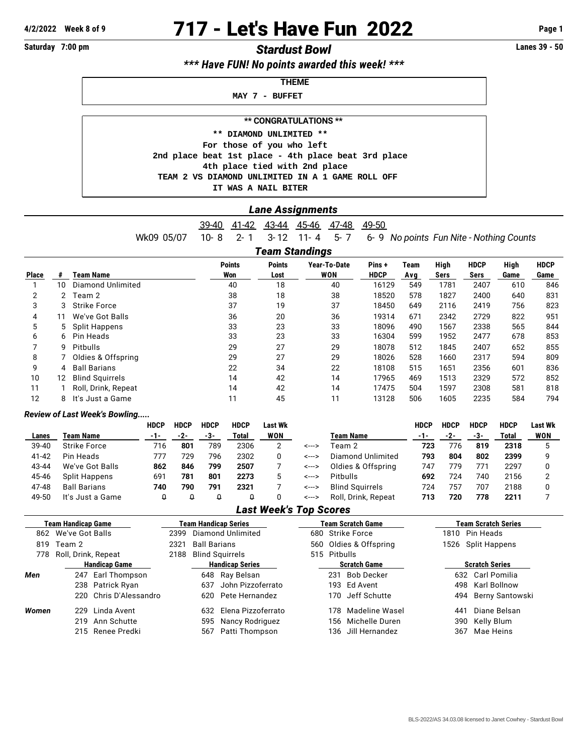# **4/2/2022 Week 8 of 9** 717 - Let's Have Fun 2022 **Page 1**

## **Saturday 7:00 pm** *Stardust Bowl* **Lanes 39 - 50**

*\*\*\* Have FUN! No points awarded this week! \*\*\**

 **THEME**

 **MAY 7 - BUFFET**

**\*\* CONGRATULATIONS \*\***

 **\*\* DIAMOND UNLIMITED \*\* For those of you who left 2nd place beat 1st place - 4th place beat 3rd place 4th place tied with 2nd place TEAM 2 VS DIAMOND UNLIMITED IN A 1 GAME ROLL OFF IT WAS A NAIL BITER**

#### *Lane Assignments*

39-40 41-42 43-44 45-46 47-48 49-50

Wk09 05/07 10- 8 2- 1 3- 12 11- 4 5- 7 6- 9 *No points Fun Nite - Nothing Counts*

### *Team Standings*

|              |    |                        | <b>Points</b> | <b>Points</b> | Year-To-Date | Pins+       | Team | High | <b>HDCP</b> | High | <b>HDCP</b> |
|--------------|----|------------------------|---------------|---------------|--------------|-------------|------|------|-------------|------|-------------|
| <b>Place</b> | #  | <b>Team Name</b>       | Won           | Lost          | WON          | <b>HDCP</b> | Avg  | Sers | Sers        | Game | Game        |
|              | 10 | Diamond Unlimited      | 40            | 18            | 40           | 16129       | 549  | 1781 | 2407        | 610  | 846         |
| 2            |    | Team 2                 | 38            | 18            | 38           | 18520       | 578  | 1827 | 2400        | 640  | 831         |
| 3            | 3  | <b>Strike Force</b>    | 37            | 19            | 37           | 18450       | 649  | 2116 | 2419        | 756  | 823         |
| 4            | 11 | We've Got Balls        | 36            | 20            | 36           | 19314       | 671  | 2342 | 2729        | 822  | 951         |
| 5            | 5  | Split Happens          | 33            | 23            | 33           | 18096       | 490  | 1567 | 2338        | 565  | 844         |
| 6            | 6. | Pin Heads              | 33            | 23            | 33           | 16304       | 599  | 1952 | 2477        | 678  | 853         |
|              | 9  | Pitbulls               | 29            | 27            | 29           | 18078       | 512  | 1845 | 2407        | 652  | 855         |
| 8            |    | Oldies & Offspring     | 29            | 27            | 29           | 18026       | 528  | 1660 | 2317        | 594  | 809         |
| 9            | 4  | <b>Ball Barians</b>    | 22            | 34            | 22           | 18108       | 515  | 1651 | 2356        | 601  | 836         |
| 10           | 12 | <b>Blind Squirrels</b> | 14            | 42            | 14           | 17965       | 469  | 1513 | 2329        | 572  | 852         |
| 11           |    | Roll, Drink, Repeat    | 14            | 42            | 14           | 17475       | 504  | 1597 | 2308        | 581  | 818         |
| 12           | 8  | It's Just a Game       | 11            | 45            | 11           | 13128       | 506  | 1605 | 2235        | 584  | 794         |

#### *Review of Last Week's Bowling.....*

|       |                     | HDCP | <b>HDCP</b> | <b>HDCP</b> | <b>HDCP</b> | Last Wk    |       |                        | <b>HDCP</b> | <b>HDCP</b> | <b>HDCP</b> | <b>HDCP</b> | Last Wk |
|-------|---------------------|------|-------------|-------------|-------------|------------|-------|------------------------|-------------|-------------|-------------|-------------|---------|
| Lanes | Team Name           | -1-  | -2-         | -3-         | Total       | <b>WON</b> |       | <b>Team Name</b>       | -1-         | -2-         | -3-         | Total       | WON     |
| 39-40 | <b>Strike Force</b> | 716  | 801         | 789         | 2306        |            | <---> | Team 2                 | 723         | 776         | 819         | 2318        |         |
| 41-42 | Pin Heads           | 777  | 729         | 796         | 2302        |            | <---> | Diamond Unlimited      | 793         | 804         | 802         | 2399        |         |
| 43-44 | We've Got Balls     | 862  | 846         | 799         | 2507        |            | <---> | Oldies & Offspring     | 747         | 779         | 771         | 2297        |         |
| 45-46 | Split Happens       | 691  | 781         | 801         | 2273        |            | <---> | <b>Pitbulls</b>        | 692         | 724         | 740         | 2156        |         |
| 47-48 | <b>Ball Barians</b> | 740  | 790         | 791         | 2321        |            | <---> | <b>Blind Sauirrels</b> | 724         | 757         | 707         | 2188        |         |
| 49-50 | It's Just a Game    | Q    |             |             |             |            | <---> | Roll, Drink, Repeat    | 713         | 720         | 778         | 2211        |         |

#### *Last Week's Top Scores*

|       | <b>Team Handicap Game</b>   |  |                        | Team Handicap Series      |  | <b>Team Scratch Game</b> |                       | <b>Team Scratch Series</b> |  |  |
|-------|-----------------------------|--|------------------------|---------------------------|--|--------------------------|-----------------------|----------------------------|--|--|
|       | 862 We've Got Balls         |  |                        | Diamond Unlimited<br>2399 |  | 680 Strike Force         |                       | 1810 Pin Heads             |  |  |
| 819   | Team 2<br>2321              |  | <b>Ball Barians</b>    |                           |  | 560 Oldies & Offspring   |                       | 1526 Split Happens         |  |  |
| 778   | Roll, Drink, Repeat<br>2188 |  | <b>Blind Squirrels</b> |                           |  | 515 Pitbulls             |                       |                            |  |  |
|       | <b>Handicap Game</b>        |  | <b>Handicap Series</b> |                           |  | <b>Scratch Game</b>      | <b>Scratch Series</b> |                            |  |  |
| Men   | 247 Earl Thompson           |  |                        | 648 Ray Belsan            |  | Bob Decker<br>231        | 632                   | Carl Pomilia               |  |  |
|       | 238 Patrick Ryan            |  | 637                    | John Pizzoferrato         |  | 193 Ed Avent             | 498                   | Karl Bollnow               |  |  |
|       | 220 Chris D'Alessandro      |  | 620.                   | Pete Hernandez            |  | 170 Jeff Schutte         |                       | Berny Santowski<br>494     |  |  |
| Women | 229 Linda Avent             |  |                        | 632 Elena Pizzoferrato    |  | 178 Madeline Wasel       | 441                   | Diane Belsan               |  |  |
|       | 219 Ann Schutte             |  |                        | 595 Nancy Rodriguez       |  | Michelle Duren<br>156-   | 390                   | Kelly Blum                 |  |  |
|       | 215 Renee Predki            |  | 567                    | Patti Thompson            |  | 136 Jill Hernandez       | 367                   | Mae Heins                  |  |  |
|       |                             |  |                        |                           |  |                          |                       |                            |  |  |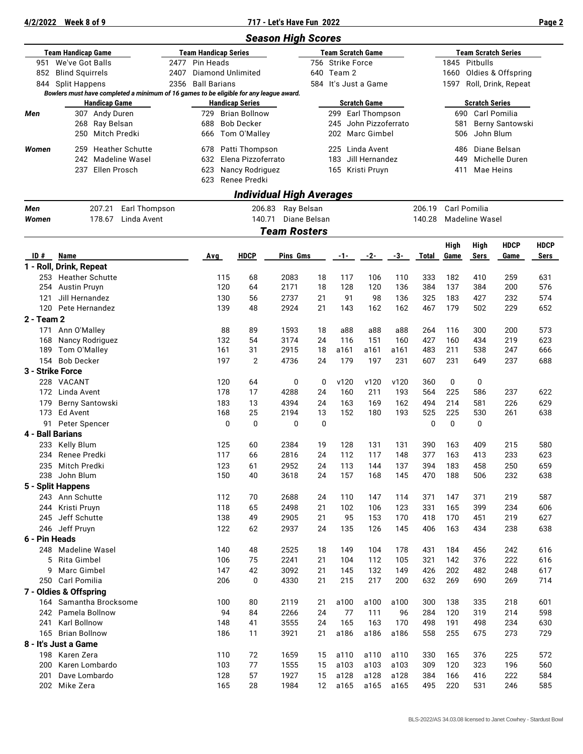#### **4/2/2022 Week 8 of 9 717 - Let's Have Fun 2022 Page 2**

|                                               |                                                                                        |                                  |                             |                                                | <b>Season High Scores</b>       |          |                          |                                          |                  |              |              |                                           |                             |                     |
|-----------------------------------------------|----------------------------------------------------------------------------------------|----------------------------------|-----------------------------|------------------------------------------------|---------------------------------|----------|--------------------------|------------------------------------------|------------------|--------------|--------------|-------------------------------------------|-----------------------------|---------------------|
|                                               | <b>Team Handicap Game</b>                                                              |                                  | <b>Team Handicap Series</b> |                                                |                                 |          | <b>Team Scratch Game</b> |                                          |                  |              |              |                                           | <b>Team Scratch Series</b>  |                     |
|                                               | 951 We've Got Balls                                                                    | 2477<br>Pin Heads                |                             |                                                | 756 Strike Force                |          |                          |                                          | 1845<br>Pitbulls |              |              |                                           |                             |                     |
|                                               | 852 Blind Squirrels                                                                    | 2407<br><b>Diamond Unlimited</b> |                             |                                                |                                 | 640      | Team 2                   |                                          |                  |              | 1660         |                                           | Oldies & Offspring          |                     |
|                                               | 844 Split Happens                                                                      | 2356                             | <b>Ball Barians</b>         |                                                |                                 |          |                          | 584 It's Just a Game                     |                  |              | 1597         |                                           | Roll, Drink, Repeat         |                     |
|                                               | Bowlers must have completed a minimum of 16 games to be eligible for any league award. |                                  |                             |                                                |                                 |          |                          |                                          |                  |              |              |                                           |                             |                     |
| <b>Handicap Game</b><br>307 Andy Duren<br>Men |                                                                                        |                                  | 729                         | <b>Handicap Series</b><br><b>Brian Bollnow</b> |                                 |          |                          | <b>Scratch Game</b><br>299 Earl Thompson |                  |              |              | <b>Scratch Series</b><br>690 Carl Pomilia |                             |                     |
|                                               | 268<br>Ray Belsan                                                                      |                                  | 688                         | <b>Bob Decker</b>                              |                                 |          | 245                      | John Pizzoferrato                        |                  |              | 581          |                                           | Berny Santowski             |                     |
|                                               | <b>Mitch Predki</b><br>250                                                             |                                  | 666                         | Tom O'Malley                                   |                                 |          | 202                      | Marc Gimbel                              |                  |              | 506          | John Blum                                 |                             |                     |
|                                               |                                                                                        |                                  |                             |                                                |                                 |          |                          |                                          |                  |              |              |                                           |                             |                     |
| Women                                         | <b>Heather Schutte</b><br>259                                                          |                                  | 678                         | Patti Thompson                                 |                                 |          |                          | 225 Linda Avent                          |                  |              | 486          |                                           | Diane Belsan                |                     |
|                                               | 242<br><b>Madeline Wasel</b>                                                           |                                  | 632                         | Elena Pizzoferrato                             |                                 |          |                          | 183 Jill Hernandez                       |                  |              | 449          |                                           | Michelle Duren<br>Mae Heins |                     |
|                                               | Ellen Prosch<br>237                                                                    |                                  | 623<br>623                  | Nancy Rodriguez<br>Renee Predki                |                                 |          |                          | 165 Kristi Pruyn                         |                  |              | 411          |                                           |                             |                     |
|                                               |                                                                                        |                                  |                             |                                                | <b>Individual High Averages</b> |          |                          |                                          |                  |              |              |                                           |                             |                     |
| Men                                           | 207.21<br>Earl Thompson                                                                |                                  |                             | 206.83                                         | Ray Belsan                      |          |                          |                                          |                  | 206.19       |              | Carl Pomilia                              |                             |                     |
| Women                                         | Linda Avent<br>178.67                                                                  |                                  |                             | 140.71                                         | Diane Belsan                    |          |                          |                                          |                  | 140.28       |              |                                           |                             |                     |
|                                               |                                                                                        |                                  |                             |                                                | <b>Team Rosters</b>             |          |                          |                                          |                  |              |              | <b>Madeline Wasel</b>                     |                             |                     |
|                                               |                                                                                        |                                  |                             |                                                |                                 |          |                          |                                          |                  |              |              |                                           |                             |                     |
| ID#                                           | <b>Name</b>                                                                            |                                  | Avg                         | <b>HDCP</b>                                    | Pins Gms                        |          | -1-                      | -2-                                      | -3-              | <b>Total</b> | High<br>Game | <b>High</b><br><b>Sers</b>                | <b>HDCP</b><br>Game         | <b>HDCP</b><br>Sers |
|                                               | 1 - Roll, Drink, Repeat                                                                |                                  |                             |                                                |                                 |          |                          |                                          |                  |              |              |                                           |                             |                     |
| 253                                           | <b>Heather Schutte</b>                                                                 |                                  | 115                         | 68                                             | 2083                            | 18       | 117                      | 106                                      | 110              | 333          | 182          | 410                                       | 259                         | 631                 |
| 254                                           | <b>Austin Pruyn</b>                                                                    |                                  | 120                         | 64                                             | 2171                            | 18       | 128                      | 120                                      | 136              | 384          | 137          | 384                                       | 200                         | 576                 |
| 121                                           | Jill Hernandez                                                                         |                                  | 130                         | 56                                             | 2737                            | 21       | 91                       | 98                                       | 136              | 325          | 183          | 427                                       | 232                         | 574                 |
| 120                                           | Pete Hernandez                                                                         |                                  | 139                         | 48                                             | 2924                            | 21       | 143                      | 162                                      | 162              | 467          | 179          | 502                                       | 229                         | 652                 |
| 2 - Team 2                                    |                                                                                        |                                  |                             |                                                |                                 |          |                          |                                          |                  |              |              |                                           |                             |                     |
| 171                                           | Ann O'Malley                                                                           |                                  | 88                          | 89                                             | 1593                            | 18       | a88                      | a88                                      | a88              | 264          | 116          | 300                                       | 200                         | 573                 |
| 168                                           | Nancy Rodriguez                                                                        |                                  | 132                         | 54                                             | 3174                            | 24       | 116                      | 151                                      | 160              | 427          | 160          | 434                                       | 219                         | 623                 |
| 189                                           | Tom O'Malley                                                                           |                                  | 161                         | 31                                             | 2915                            | 18       | a161                     | a161                                     | a161             | 483          | 211          | 538                                       | 247                         | 666                 |
|                                               | 154 Bob Decker                                                                         |                                  | 197                         | $\overline{2}$                                 | 4736                            | 24       | 179                      | 197                                      | 231              | 607          | 231          | 649                                       | 237                         | 688                 |
|                                               | 3 - Strike Force                                                                       |                                  |                             |                                                |                                 |          |                          |                                          |                  |              |              |                                           |                             |                     |
|                                               | 228 VACANT                                                                             |                                  | 120                         | 64                                             | 0                               | 0        | v120                     | v120                                     | v120             | 360          | 0            | 0                                         |                             |                     |
|                                               | 172 Linda Avent                                                                        |                                  | 178                         | 17                                             | 4288                            | 24       | 160                      | 211                                      | 193              | 564          | 225          | 586                                       | 237                         | 622                 |
| 179                                           | Berny Santowski<br>173 Ed Avent                                                        |                                  | 183<br>168                  | 13<br>25                                       | 4394<br>2194                    | 24<br>13 | 163<br>152               | 169<br>180                               | 162<br>193       | 494<br>525   | 214<br>225   | 581<br>530                                | 226<br>261                  | 629<br>638          |
|                                               | 91 Peter Spencer                                                                       |                                  | 0                           | $\mathbf 0$                                    | 0                               | 0        |                          |                                          |                  | 0            | 0            | 0                                         |                             |                     |
|                                               | 4 - Ball Barians                                                                       |                                  |                             |                                                |                                 |          |                          |                                          |                  |              |              |                                           |                             |                     |
| 233                                           | Kelly Blum                                                                             |                                  | 125                         | 60                                             | 2384                            | 19       | 128                      | 131                                      | 131              | 390          | 163          | 409                                       | 215                         | 580                 |
|                                               | 234 Renee Predki                                                                       |                                  | 117                         | 66                                             | 2816                            | 24       | 112                      | 117                                      | 148              | 377          | 163          | 413                                       | 233                         | 623                 |
| 235                                           | Mitch Predki                                                                           |                                  | 123                         | 61                                             | 2952                            | 24       | 113                      | 144                                      | 137              | 394          | 183          | 458                                       | 250                         | 659                 |
| 238                                           | John Blum                                                                              |                                  | 150                         | 40                                             | 3618                            | 24       | 157                      | 168                                      | 145              | 470          | 188          | 506                                       | 232                         | 638                 |
|                                               | 5 - Split Happens                                                                      |                                  |                             |                                                |                                 |          |                          |                                          |                  |              |              |                                           |                             |                     |
|                                               | 243 Ann Schutte                                                                        |                                  | 112                         | 70                                             | 2688                            | 24       | 110                      | 147                                      | 114              | 371          | 147          | 371                                       | 219                         | 587                 |
| 244                                           | Kristi Pruyn                                                                           |                                  | 118                         | 65                                             | 2498                            | 21       | 102                      | 106                                      | 123              | 331          | 165          | 399                                       | 234                         | 606                 |
| 245                                           | Jeff Schutte                                                                           |                                  | 138                         | 49                                             | 2905                            | 21       | 95                       | 153                                      | 170              | 418          | 170          | 451                                       | 219                         | 627                 |
|                                               | 246 Jeff Pruyn                                                                         |                                  | 122                         | 62                                             | 2937                            | 24       | 135                      | 126                                      | 145              | 406          | 163          | 434                                       | 238                         | 638                 |
| 6 - Pin Heads                                 |                                                                                        |                                  |                             |                                                |                                 |          |                          |                                          |                  |              |              |                                           |                             |                     |
|                                               | 248 Madeline Wasel                                                                     |                                  | 140                         | 48                                             | 2525                            | 18       | 149                      | 104                                      | 178              | 431          | 184          | 456                                       | 242                         | 616                 |
| 5                                             | Rita Gimbel                                                                            |                                  | 106                         | 75                                             | 2241                            | 21       | 104                      | 112                                      | 105              | 321          | 142          | 376                                       | 222                         | 616                 |
| 9                                             | Marc Gimbel                                                                            |                                  | 147                         | 42                                             | 3092                            | 21       | 145                      | 132                                      | 149              | 426          | 202          | 482                                       | 248                         | 617                 |
|                                               | 250 Carl Pomilia                                                                       |                                  | 206                         | $\mathbf 0$                                    | 4330                            | 21       | 215                      | 217                                      | 200              | 632          | 269          | 690                                       | 269                         | 714                 |
|                                               | 7 - Oldies & Offspring                                                                 |                                  |                             |                                                |                                 |          |                          |                                          |                  |              |              |                                           |                             |                     |
|                                               | 164 Samantha Brocksome<br>242 Pamela Bollnow                                           |                                  | 100<br>94                   | 80<br>84                                       | 2119                            | 21<br>24 | a100<br>77               | a100<br>111                              | a100             | 300          | 138<br>120   | 335<br>319                                | 218<br>214                  | 601<br>598          |
| 241                                           | Karl Bollnow                                                                           |                                  | 148                         | 41                                             | 2266<br>3555                    | 24       | 165                      | 163                                      | 96<br>170        | 284<br>498   | 191          | 498                                       | 234                         | 630                 |
| 165                                           | <b>Brian Bollnow</b>                                                                   |                                  | 186                         | 11                                             | 3921                            | 21       | a186                     | a186                                     | a186             | 558          | 255          | 675                                       | 273                         | 729                 |
|                                               | 8 - It's Just a Game                                                                   |                                  |                             |                                                |                                 |          |                          |                                          |                  |              |              |                                           |                             |                     |
|                                               | 198 Karen Zera                                                                         |                                  | 110                         | 72                                             | 1659                            | 15       | a110                     | a110                                     | a110             | 330          | 165          | 376                                       | 225                         | 572                 |
| 200                                           | Karen Lombardo                                                                         |                                  | 103                         | 77                                             | 1555                            | 15       | a103                     | a103                                     | a103             | 309          | 120          | 323                                       | 196                         | 560                 |
| 201                                           | Dave Lombardo                                                                          |                                  | 128                         | 57                                             | 1927                            | 15       | a128                     | a128                                     | a128             | 384          | 166          | 416                                       | 222                         | 584                 |
|                                               | 202 Mike Zera                                                                          |                                  | 165                         | 28                                             | 1984                            | 12       | a165                     | a165                                     | a165             | 495          | 220          | 531                                       | 246                         | 585                 |